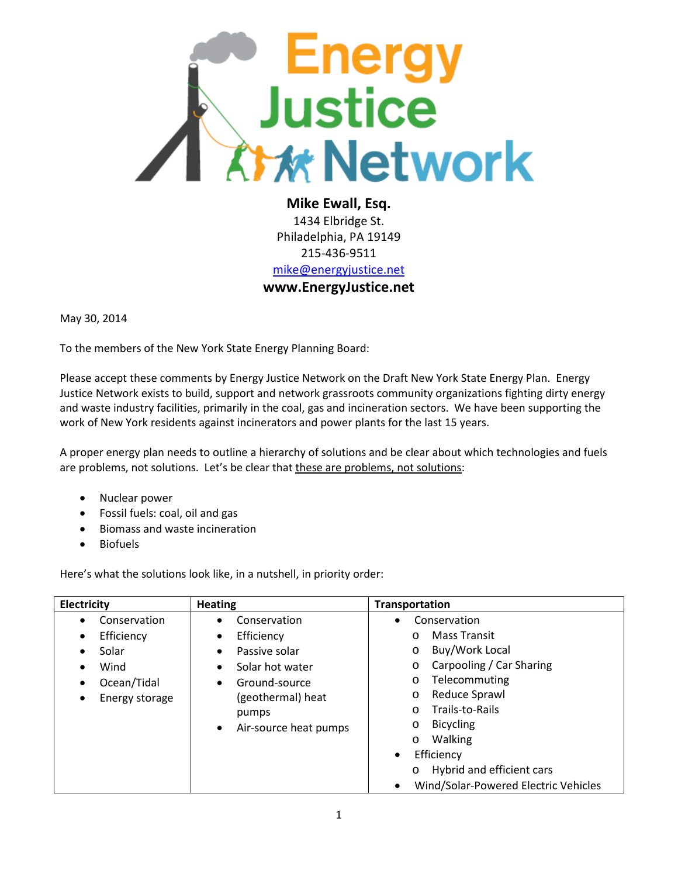

**Mike Ewall, Esq.** 1434 Elbridge St. Philadelphia, PA 19149 215-436-9511 [mike@energyjustice.net](mailto:mike@energyjustice.net) **www.EnergyJustice.net**

May 30, 2014

To the members of the New York State Energy Planning Board:

Please accept these comments by Energy Justice Network on the Draft New York State Energy Plan. Energy Justice Network exists to build, support and network grassroots community organizations fighting dirty energy and waste industry facilities, primarily in the coal, gas and incineration sectors. We have been supporting the work of New York residents against incinerators and power plants for the last 15 years.

A proper energy plan needs to outline a hierarchy of solutions and be clear about which technologies and fuels are problems, not solutions. Let's be clear that these are problems, not solutions:

- Nuclear power
- Fossil fuels: coal, oil and gas
- Biomass and waste incineration
- **Biofuels**

Here's what the solutions look like, in a nutshell, in priority order:

| Electricity                                                                                                                   | <b>Heating</b>                                                                                       | <b>Transportation</b>                                                                                                                                                                |
|-------------------------------------------------------------------------------------------------------------------------------|------------------------------------------------------------------------------------------------------|--------------------------------------------------------------------------------------------------------------------------------------------------------------------------------------|
| Conservation<br>$\bullet$<br>٠<br>Efficiency<br>$\bullet$<br>٠<br>Solar<br>$\bullet$<br>Wind<br>$\bullet$<br>Ocean/Tidal<br>٠ | Conservation<br>Efficiency<br>Passive solar<br>Solar hot water<br>Ground-source<br>(geothermal) heat | Conservation<br>$\bullet$<br>Mass Transit<br>$\circ$<br>Buy/Work Local<br>O<br>Carpooling / Car Sharing<br>O<br>Telecommuting<br>$\circ$<br>Reduce Sprawl<br>O                       |
| Energy storage                                                                                                                | pumps<br>Air-source heat pumps<br>$\bullet$                                                          | Trails-to-Rails<br>$\circ$<br><b>Bicycling</b><br>O<br>Walking<br>$\circ$<br>Efficiency<br>$\bullet$<br>Hybrid and efficient cars<br>$\circ$<br>Wind/Solar-Powered Electric Vehicles |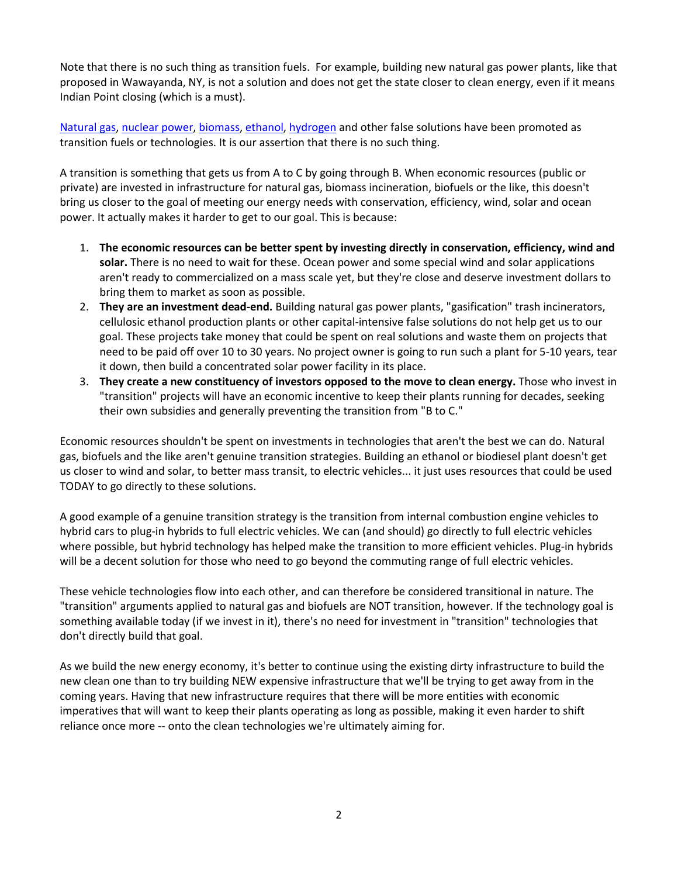Note that there is no such thing as transition fuels. For example, building new natural gas power plants, like that proposed in Wawayanda, NY, is not a solution and does not get the state closer to clean energy, even if it means Indian Point closing (which is a must).

[Natural gas,](http://www.energyjustice.net/naturalgas/) [nuclear power,](http://www.energyjustice.net/nuclear/) [biomass,](http://www.energyjustice.net/biomass/) [ethanol,](http://www.energyjustice.net/ethanol/) [hydrogen](http://www.energyjustice.net/hydrogen/) and other false solutions have been promoted as transition fuels or technologies. It is our assertion that there is no such thing.

A transition is something that gets us from A to C by going through B. When economic resources (public or private) are invested in infrastructure for natural gas, biomass incineration, biofuels or the like, this doesn't bring us closer to the goal of meeting our energy needs with conservation, efficiency, wind, solar and ocean power. It actually makes it harder to get to our goal. This is because:

- 1. **The economic resources can be better spent by investing directly in conservation, efficiency, wind and solar.** There is no need to wait for these. Ocean power and some special wind and solar applications aren't ready to commercialized on a mass scale yet, but they're close and deserve investment dollars to bring them to market as soon as possible.
- 2. **They are an investment dead-end.** Building natural gas power plants, "gasification" trash incinerators, cellulosic ethanol production plants or other capital-intensive false solutions do not help get us to our goal. These projects take money that could be spent on real solutions and waste them on projects that need to be paid off over 10 to 30 years. No project owner is going to run such a plant for 5-10 years, tear it down, then build a concentrated solar power facility in its place.
- 3. **They create a new constituency of investors opposed to the move to clean energy.** Those who invest in "transition" projects will have an economic incentive to keep their plants running for decades, seeking their own subsidies and generally preventing the transition from "B to C."

Economic resources shouldn't be spent on investments in technologies that aren't the best we can do. Natural gas, biofuels and the like aren't genuine transition strategies. Building an ethanol or biodiesel plant doesn't get us closer to wind and solar, to better mass transit, to electric vehicles... it just uses resources that could be used TODAY to go directly to these solutions.

A good example of a genuine transition strategy is the transition from internal combustion engine vehicles to hybrid cars to plug-in hybrids to full electric vehicles. We can (and should) go directly to full electric vehicles where possible, but hybrid technology has helped make the transition to more efficient vehicles. Plug-in hybrids will be a decent solution for those who need to go beyond the commuting range of full electric vehicles.

These vehicle technologies flow into each other, and can therefore be considered transitional in nature. The "transition" arguments applied to natural gas and biofuels are NOT transition, however. If the technology goal is something available today (if we invest in it), there's no need for investment in "transition" technologies that don't directly build that goal.

As we build the new energy economy, it's better to continue using the existing dirty infrastructure to build the new clean one than to try building NEW expensive infrastructure that we'll be trying to get away from in the coming years. Having that new infrastructure requires that there will be more entities with economic imperatives that will want to keep their plants operating as long as possible, making it even harder to shift reliance once more -- onto the clean technologies we're ultimately aiming for.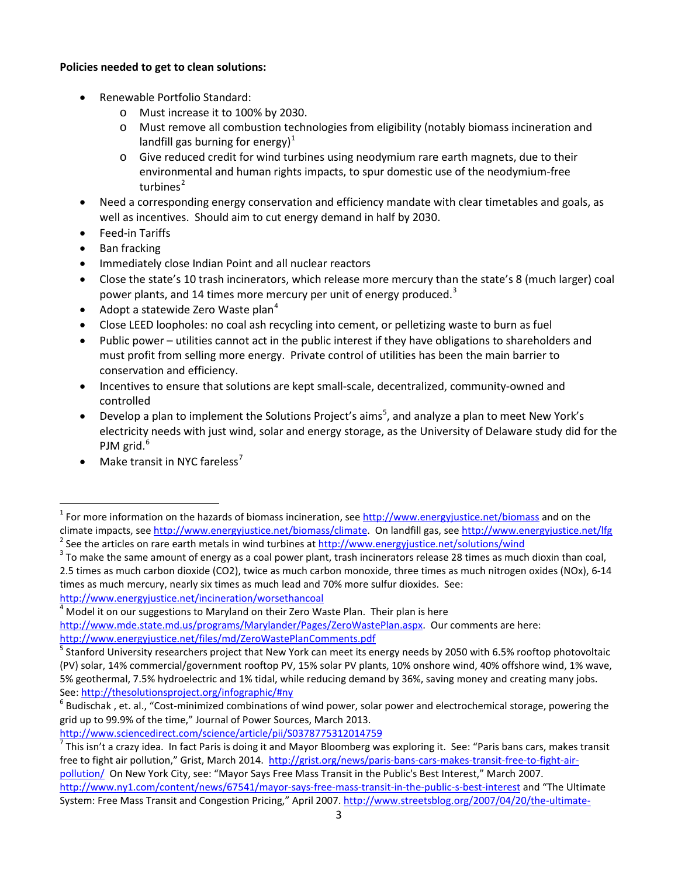#### **Policies needed to get to clean solutions:**

- Renewable Portfolio Standard:
	- o Must increase it to 100% by 2030.
	- o Must remove all combustion technologies from eligibility (notably biomass incineration and landfill gas burning for energy) $<sup>1</sup>$  $<sup>1</sup>$  $<sup>1</sup>$ </sup>
	- $\circ$  Give reduced credit for wind turbines using neodymium rare earth magnets, due to their environmental and human rights impacts, to spur domestic use of the neodymium-free turbines $<sup>2</sup>$  $<sup>2</sup>$  $<sup>2</sup>$ </sup>
- Need a corresponding energy conservation and efficiency mandate with clear timetables and goals, as well as incentives. Should aim to cut energy demand in half by 2030.
- Feed-in Tariffs
- Ban fracking
- Immediately close Indian Point and all nuclear reactors
- Close the state's 10 trash incinerators, which release more mercury than the state's 8 (much larger) coal power plants, and 14 times more mercury per unit of energy produced.<sup>[3](#page-2-2)</sup>
- Adopt a statewide Zero Waste plan<sup>[4](#page-2-3)</sup>
- Close LEED loopholes: no coal ash recycling into cement, or pelletizing waste to burn as fuel
- Public power utilities cannot act in the public interest if they have obligations to shareholders and must profit from selling more energy. Private control of utilities has been the main barrier to conservation and efficiency.
- Incentives to ensure that solutions are kept small-scale, decentralized, community-owned and controlled
- Develop a plan to implement the Solutions Project's aims<sup>[5](#page-2-4)</sup>, and analyze a plan to meet New York's electricity needs with just wind, solar and energy storage, as the University of Delaware study did for the PJM grid. $6$
- Make transit in NYC fareless'

<http://www.sciencedirect.com/science/article/pii/S0378775312014759>

<span id="page-2-0"></span> $1$  For more information on the hazards of biomass incineration, see<http://www.energyjustice.net/biomass> and on the climate impacts, see [http://www.energyjustice.net/biomass/climate.](http://www.energyjustice.net/biomass/climate/) On landfill gas, see [http://www.energyjustice.net/lfg](http://www.energyjustice.net/lfg/)<br>
<sup>2</sup> See the articles on rare earth metals in wind turbines at http://www.energyjustice.net/solutions

<span id="page-2-2"></span><span id="page-2-1"></span><sup>2.5</sup> times as much carbon dioxide (CO2), twice as much carbon monoxide, three times as much nitrogen oxides (NOx), 6-14 times as much mercury, nearly six times as much lead and 70% more sulfur dioxides. See:

<span id="page-2-3"></span><http://www.energyjustice.net/incineration/worsethancoal><br><sup>4</sup> Model it on our suggestions to Maryland on their Zero Waste Plan. Their plan is here [http://www.mde.state.md.us/programs/Marylander/Pages/ZeroWastePlan.aspx.](http://www.mde.state.md.us/programs/Marylander/Pages/ZeroWastePlan.aspx) Our comments are here: <http://www.energyjustice.net/files/md/ZeroWastePlanComments.pdf>

<span id="page-2-4"></span><sup>5</sup> Stanford University researchers project that New York can meet its energy needs by 2050 with 6.5% rooftop photovoltaic (PV) solar, 14% commercial/government rooftop PV, 15% solar PV plants, 10% onshore wind, 40% offshore wind, 1% wave, 5% geothermal, 7.5% hydroelectric and 1% tidal, while reducing demand by 36%, saving money and creating many jobs.

<span id="page-2-5"></span>See[: http://thesolutionsproject.org/infographic/#ny](http://thesolutionsproject.org/infographic/#ny)<br><sup>6</sup> Budischak , et. al., "Cost-minimized combinations of wind power, solar power and electrochemical storage, powering the grid up to 99.9% of the time," Journal of Power Sources, March 2013.

<span id="page-2-6"></span> $^7$  This isn't a crazy idea. In fact Paris is doing it and Mayor Bloomberg was exploring it. See: "Paris bans cars, makes transit free to fight air pollution," Grist, March 2014. [http://grist.org/news/paris-bans-cars-makes-transit-free-to-fight-air](http://grist.org/news/paris-bans-cars-makes-transit-free-to-fight-air-pollution/)[pollution/](http://grist.org/news/paris-bans-cars-makes-transit-free-to-fight-air-pollution/) On New York City, see: "Mayor Says Free Mass Transit in the Public's Best Interest," March 2007. <http://www.ny1.com/content/news/67541/mayor-says-free-mass-transit-in-the-public-s-best-interest> and "The Ultimate System: Free Mass Transit and Congestion Pricing," April 2007[. http://www.streetsblog.org/2007/04/20/the-ultimate-](http://www.streetsblog.org/2007/04/20/the-ultimate-system-free-mass-transit-and-congestion-pricing/)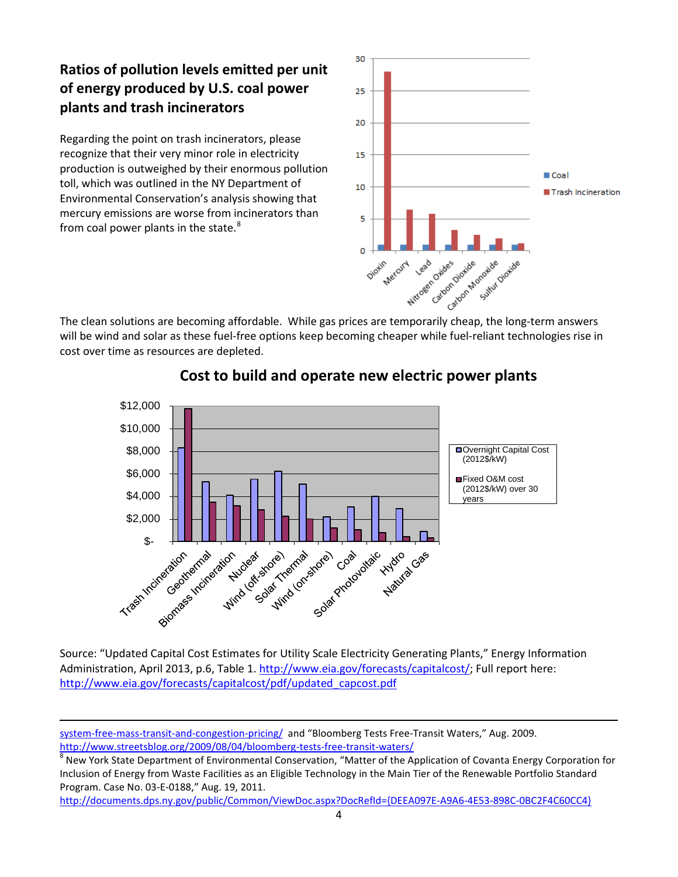# **Ratios of pollution levels emitted per unit of energy produced by U.S. coal power plants and trash incinerators**

Regarding the point on trash incinerators, please recognize that their very minor role in electricity production is outweighed by their enormous pollution toll, which was outlined in the NY Department of Environmental Conservation's analysis showing that mercury emissions are worse from incinerators than from coal power plants in the state.<sup>[8](#page-3-0)</sup>

 $\overline{\phantom{a}}$ 



will be wind and solar as these fuel-free options keep becoming cheaper while fuel-reliant technologies rise in cost over time as resources are depleted.



## **Cost to build and operate new electric power plants**

Source: "Updated Capital Cost Estimates for Utility Scale Electricity Generating Plants," Energy Information Administration, April 2013, p.6, Table 1. [http://www.eia.gov/forecasts/capitalcost/;](http://www.eia.gov/forecasts/capitalcost/) Full report here: [http://www.eia.gov/forecasts/capitalcost/pdf/updated\\_capcost.pdf](http://www.eia.gov/forecasts/capitalcost/pdf/updated_capcost.pdf)

[system-free-mass-transit-and-congestion-pricing/](http://www.streetsblog.org/2007/04/20/the-ultimate-system-free-mass-transit-and-congestion-pricing/) and "Bloomberg Tests Free-Transit Waters," Aug. 2009.

<span id="page-3-0"></span><http://www.streetsblog.org/2009/08/04/bloomberg-tests-free-transit-waters/><br><sup>8</sup> New York State Department of Environmental Conservation, "Matter of the Application of Covanta Energy Corporation for Inclusion of Energy from Waste Facilities as an Eligible Technology in the Main Tier of the Renewable Portfolio Standard Program. Case No. 03-E-0188," Aug. 19, 2011.

[http://documents.dps.ny.gov/public/Common/ViewDoc.aspx?DocRefId={DEEA097E-A9A6-4E53-898C-0BC2F4C60CC4}](http://documents.dps.ny.gov/public/Common/ViewDoc.aspx?DocRefId=%7BDEEA097E-A9A6-4E53-898C-0BC2F4C60CC4%7D)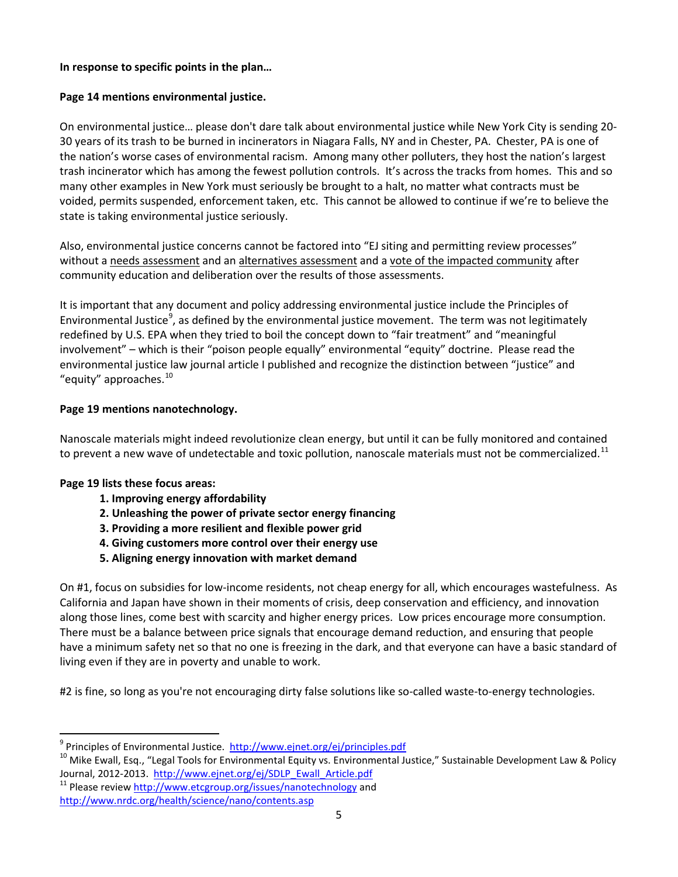#### **In response to specific points in the plan…**

#### **Page 14 mentions environmental justice.**

On environmental justice… please don't dare talk about environmental justice while New York City is sending 20- 30 years of its trash to be burned in incinerators in Niagara Falls, NY and in Chester, PA. Chester, PA is one of the nation's worse cases of environmental racism. Among many other polluters, they host the nation's largest trash incinerator which has among the fewest pollution controls. It's across the tracks from homes. This and so many other examples in New York must seriously be brought to a halt, no matter what contracts must be voided, permits suspended, enforcement taken, etc. This cannot be allowed to continue if we're to believe the state is taking environmental justice seriously.

Also, environmental justice concerns cannot be factored into "EJ siting and permitting review processes" without a needs assessment and an alternatives assessment and a vote of the impacted community after community education and deliberation over the results of those assessments.

It is important that any document and policy addressing environmental justice include the Principles of Environmental Justice<sup>[9](#page-4-0)</sup>, as defined by the environmental justice movement. The term was not legitimately redefined by U.S. EPA when they tried to boil the concept down to "fair treatment" and "meaningful involvement" – which is their "poison people equally" environmental "equity" doctrine. Please read the environmental justice law journal article I published and recognize the distinction between "justice" and "equity" approaches. $^{10}$  $^{10}$  $^{10}$ 

#### **Page 19 mentions nanotechnology.**

Nanoscale materials might indeed revolutionize clean energy, but until it can be fully monitored and contained to prevent a new wave of undetectable and toxic pollution, nanoscale materials must not be commercialized.<sup>[11](#page-4-2)</sup>

#### **Page 19 lists these focus areas:**

- **1. Improving energy affordability**
- **2. Unleashing the power of private sector energy financing**
- **3. Providing a more resilient and flexible power grid**
- **4. Giving customers more control over their energy use**
- **5. Aligning energy innovation with market demand**

On #1, focus on subsidies for low-income residents, not cheap energy for all, which encourages wastefulness. As California and Japan have shown in their moments of crisis, deep conservation and efficiency, and innovation along those lines, come best with scarcity and higher energy prices. Low prices encourage more consumption. There must be a balance between price signals that encourage demand reduction, and ensuring that people have a minimum safety net so that no one is freezing in the dark, and that everyone can have a basic standard of living even if they are in poverty and unable to work.

#2 is fine, so long as you're not encouraging dirty false solutions like so-called waste-to-energy technologies.

<span id="page-4-1"></span><span id="page-4-0"></span><sup>&</sup>lt;sup>9</sup> Principles of Environmental Justice.<http://www.ejnet.org/ej/principles.pdf><br><sup>10</sup> Mike Ewall, Esq., "Legal Tools for Environmental Equity vs. Environmental Justice," Sustainable Development Law & Policy Journal, 2012-2013. [http://www.ejnet.org/ej/SDLP\\_Ewall\\_Article.pdf](http://www.ejnet.org/ej/SDLP_Ewall_Article.pdf) <sup>11</sup> Please review<http://www.etcgroup.org/issues/nanotechnology> and

<span id="page-4-2"></span><http://www.nrdc.org/health/science/nano/contents.asp>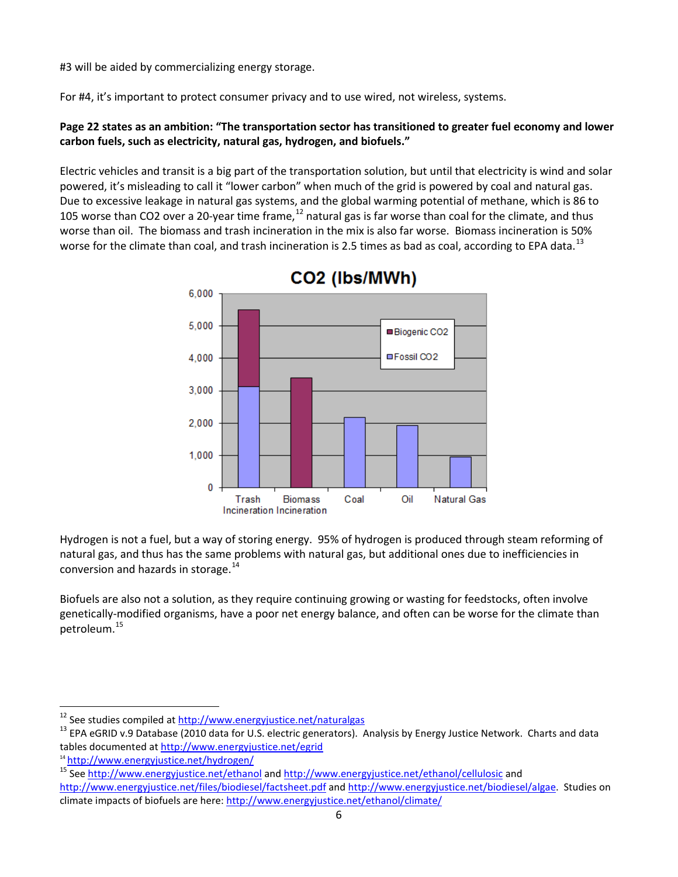#3 will be aided by commercializing energy storage.

For #4, it's important to protect consumer privacy and to use wired, not wireless, systems.

## **Page 22 states as an ambition: "The transportation sector has transitioned to greater fuel economy and lower carbon fuels, such as electricity, natural gas, hydrogen, and biofuels."**

Electric vehicles and transit is a big part of the transportation solution, but until that electricity is wind and solar powered, it's misleading to call it "lower carbon" when much of the grid is powered by coal and natural gas. Due to excessive leakage in natural gas systems, and the global warming potential of methane, which is 86 to 105 worse than CO2 over a 20-year time frame, $12$  natural gas is far worse than coal for the climate, and thus worse than oil. The biomass and trash incineration in the mix is also far worse. Biomass incineration is 50% worse for the climate than coal, and trash incineration is 2.5 times as bad as coal, according to EPA data.<sup>[13](#page-5-1)</sup>



Hydrogen is not a fuel, but a way of storing energy. 95% of hydrogen is produced through steam reforming of natural gas, and thus has the same problems with natural gas, but additional ones due to inefficiencies in conversion and hazards in storage.<sup>[14](#page-5-2)</sup>

Biofuels are also not a solution, as they require continuing growing or wasting for feedstocks, often involve genetically-modified organisms, have a poor net energy balance, and often can be worse for the climate than petroleum.[15](#page-5-3)

<span id="page-5-1"></span><span id="page-5-0"></span><sup>&</sup>lt;sup>12</sup> See studies compiled at <u>http://www.energyjustice.net/naturalgas</u><br><sup>13</sup> EPA eGRID v.9 Database (2010 data for U.S. electric generators). Analysis by Energy Justice Network. Charts and data tables documented at<http://www.energyjustice.net/egrid>

<span id="page-5-2"></span><sup>14</sup> <http://www.energyjustice.net/hydrogen/>

<span id="page-5-3"></span><sup>&</sup>lt;sup>15</sup> Se[e http://www.energyjustice.net/ethanol](http://www.energyjustice.net/ethanol) an[d http://www.energyjustice.net/ethanol/cellulosic](http://www.energyjustice.net/ethanol/cellulosic) and <http://www.energyjustice.net/files/biodiesel/factsheet.pdf> an[d http://www.energyjustice.net/biodiesel/algae.](http://www.energyjustice.net/biodiesel/algae) Studies on climate impacts of biofuels are here[: http://www.energyjustice.net/ethanol/climate/](http://www.energyjustice.net/ethanol/climate/)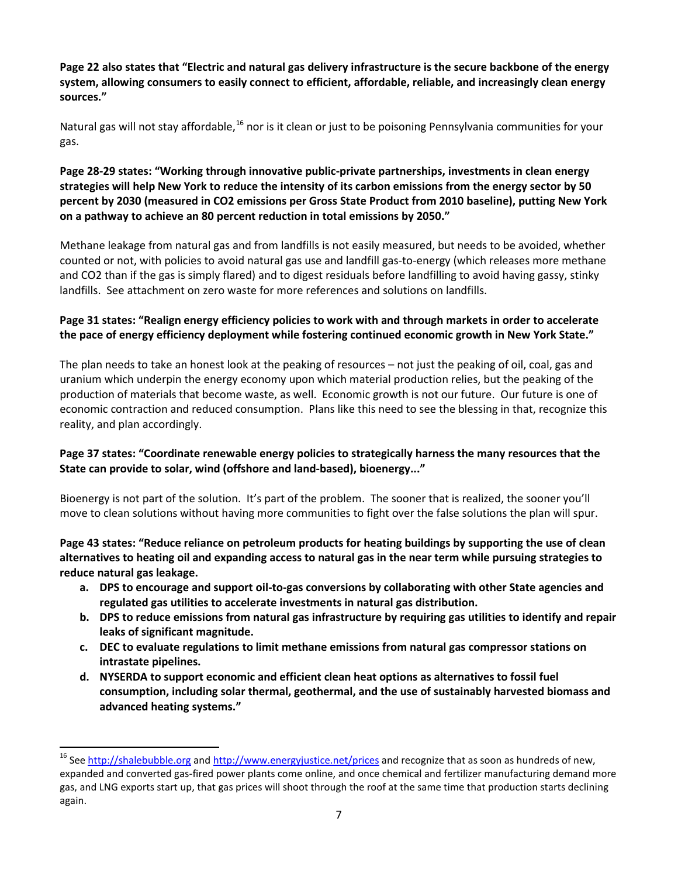**Page 22 also states that "Electric and natural gas delivery infrastructure is the secure backbone of the energy system, allowing consumers to easily connect to efficient, affordable, reliable, and increasingly clean energy sources."**

Natural gas will not stay affordable,<sup>[16](#page-6-0)</sup> nor is it clean or just to be poisoning Pennsylvania communities for your gas.

## **Page 28-29 states: "Working through innovative public-private partnerships, investments in clean energy strategies will help New York to reduce the intensity of its carbon emissions from the energy sector by 50 percent by 2030 (measured in CO2 emissions per Gross State Product from 2010 baseline), putting New York on a pathway to achieve an 80 percent reduction in total emissions by 2050."**

Methane leakage from natural gas and from landfills is not easily measured, but needs to be avoided, whether counted or not, with policies to avoid natural gas use and landfill gas-to-energy (which releases more methane and CO2 than if the gas is simply flared) and to digest residuals before landfilling to avoid having gassy, stinky landfills. See attachment on zero waste for more references and solutions on landfills.

## **Page 31 states: "Realign energy efficiency policies to work with and through markets in order to accelerate the pace of energy efficiency deployment while fostering continued economic growth in New York State."**

The plan needs to take an honest look at the peaking of resources – not just the peaking of oil, coal, gas and uranium which underpin the energy economy upon which material production relies, but the peaking of the production of materials that become waste, as well. Economic growth is not our future. Our future is one of economic contraction and reduced consumption. Plans like this need to see the blessing in that, recognize this reality, and plan accordingly.

## **Page 37 states: "Coordinate renewable energy policies to strategically harness the many resources that the State can provide to solar, wind (offshore and land-based), bioenergy..."**

Bioenergy is not part of the solution. It's part of the problem. The sooner that is realized, the sooner you'll move to clean solutions without having more communities to fight over the false solutions the plan will spur.

#### **Page 43 states: "Reduce reliance on petroleum products for heating buildings by supporting the use of clean alternatives to heating oil and expanding access to natural gas in the near term while pursuing strategies to reduce natural gas leakage.**

- **a. DPS to encourage and support oil-to-gas conversions by collaborating with other State agencies and regulated gas utilities to accelerate investments in natural gas distribution.**
- **b. DPS to reduce emissions from natural gas infrastructure by requiring gas utilities to identify and repair leaks of significant magnitude.**
- **c. DEC to evaluate regulations to limit methane emissions from natural gas compressor stations on intrastate pipelines.**
- **d. NYSERDA to support economic and efficient clean heat options as alternatives to fossil fuel consumption, including solar thermal, geothermal, and the use of sustainably harvested biomass and advanced heating systems."**

<span id="page-6-0"></span><sup>&</sup>lt;sup>16</sup> Se[e http://shalebubble.org](http://shalebubble.org/) an[d http://www.energyjustice.net/prices](http://www.energyjustice.net/prices) and recognize that as soon as hundreds of new, expanded and converted gas-fired power plants come online, and once chemical and fertilizer manufacturing demand more gas, and LNG exports start up, that gas prices will shoot through the roof at the same time that production starts declining again.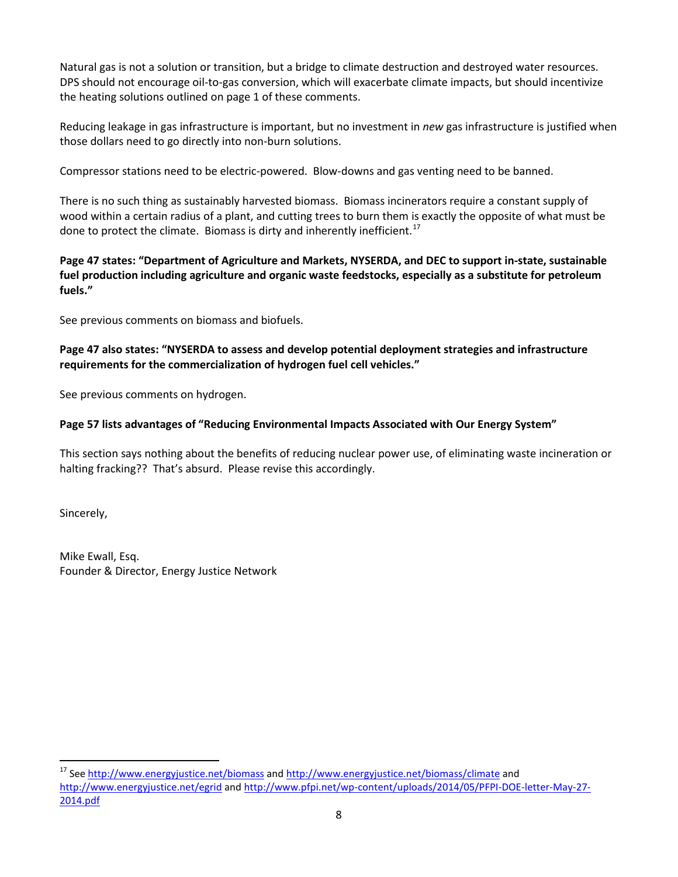Natural gas is not a solution or transition, but a bridge to climate destruction and destroyed water resources. DPS should not encourage oil-to-gas conversion, which will exacerbate climate impacts, but should incentivize the heating solutions outlined on page 1 of these comments.

Reducing leakage in gas infrastructure is important, but no investment in *new* gas infrastructure is justified when those dollars need to go directly into non-burn solutions.

Compressor stations need to be electric-powered. Blow-downs and gas venting need to be banned.

There is no such thing as sustainably harvested biomass. Biomass incinerators require a constant supply of wood within a certain radius of a plant, and cutting trees to burn them is exactly the opposite of what must be done to protect the climate. Biomass is dirty and inherently inefficient.<sup>[17](#page-7-0)</sup>

## **Page 47 states: "Department of Agriculture and Markets, NYSERDA, and DEC to support in-state, sustainable fuel production including agriculture and organic waste feedstocks, especially as a substitute for petroleum fuels."**

See previous comments on biomass and biofuels.

## **Page 47 also states: "NYSERDA to assess and develop potential deployment strategies and infrastructure requirements for the commercialization of hydrogen fuel cell vehicles."**

See previous comments on hydrogen.

## **Page 57 lists advantages of "Reducing Environmental Impacts Associated with Our Energy System"**

This section says nothing about the benefits of reducing nuclear power use, of eliminating waste incineration or halting fracking?? That's absurd. Please revise this accordingly.

Sincerely,

Mike Ewall, Esq. Founder & Director, Energy Justice Network

<span id="page-7-0"></span><sup>&</sup>lt;sup>17</sup> Se[e http://www.energyjustice.net/biomass](http://www.energyjustice.net/biomass) and [http://www.energyjustice.net/biomass/climate](http://www.energyjustice.net/biomass/climate/) and <http://www.energyjustice.net/egrid> an[d http://www.pfpi.net/wp-content/uploads/2014/05/PFPI-DOE-letter-May-27-](http://www.pfpi.net/wp-content/uploads/2014/05/PFPI-DOE-letter-May-27-2014.pdf) [2014.pdf](http://www.pfpi.net/wp-content/uploads/2014/05/PFPI-DOE-letter-May-27-2014.pdf)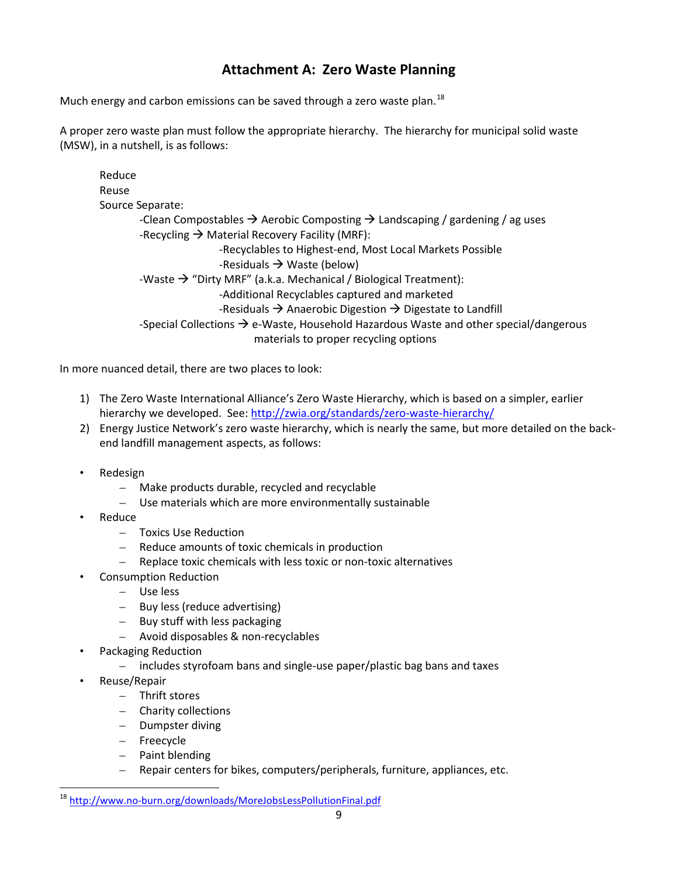## **Attachment A: Zero Waste Planning**

Much energy and carbon emissions can be saved through a zero waste plan.<sup>18</sup>

A proper zero waste plan must follow the appropriate hierarchy. The hierarchy for municipal solid waste (MSW), in a nutshell, is as follows:

Reduce Reuse Source Separate: -Clean Compostables  $\rightarrow$  Aerobic Composting  $\rightarrow$  Landscaping / gardening / ag uses -Recycling  $\rightarrow$  Material Recovery Facility (MRF): -Recyclables to Highest-end, Most Local Markets Possible -Residuals  $\rightarrow$  Waste (below) -Waste  $\rightarrow$  "Dirty MRF" (a.k.a. Mechanical / Biological Treatment): -Additional Recyclables captured and marketed -Residuals  $\rightarrow$  Anaerobic Digestion  $\rightarrow$  Digestate to Landfill -Special Collections  $\rightarrow$  e-Waste, Household Hazardous Waste and other special/dangerous materials to proper recycling options

In more nuanced detail, there are two places to look:

- 1) The Zero Waste International Alliance's Zero Waste Hierarchy, which is based on a simpler, earlier hierarchy we developed. See[: http://zwia.org/standards/zero-waste-hierarchy/](http://zwia.org/standards/zero-waste-hierarchy/)
- 2) Energy Justice Network's zero waste hierarchy, which is nearly the same, but more detailed on the backend landfill management aspects, as follows:
- Redesign
	- Make products durable, recycled and recyclable
	- Use materials which are more environmentally sustainable
- Reduce
	- Toxics Use Reduction
	- Reduce amounts of toxic chemicals in production
	- Replace toxic chemicals with less toxic or non-toxic alternatives
- Consumption Reduction
	- Use less
	- Buy less (reduce advertising)
	- Buy stuff with less packaging
	- Avoid disposables & non-recyclables
- Packaging Reduction
	- includes styrofoam bans and single-use paper/plastic bag bans and taxes
- Reuse/Repair
	- Thrift stores
	- Charity collections
	- Dumpster diving
	- Freecycle
	- Paint blending
	- Repair centers for bikes, computers/peripherals, furniture, appliances, etc.

<span id="page-8-0"></span> <sup>18</sup> <http://www.no-burn.org/downloads/MoreJobsLessPollutionFinal.pdf>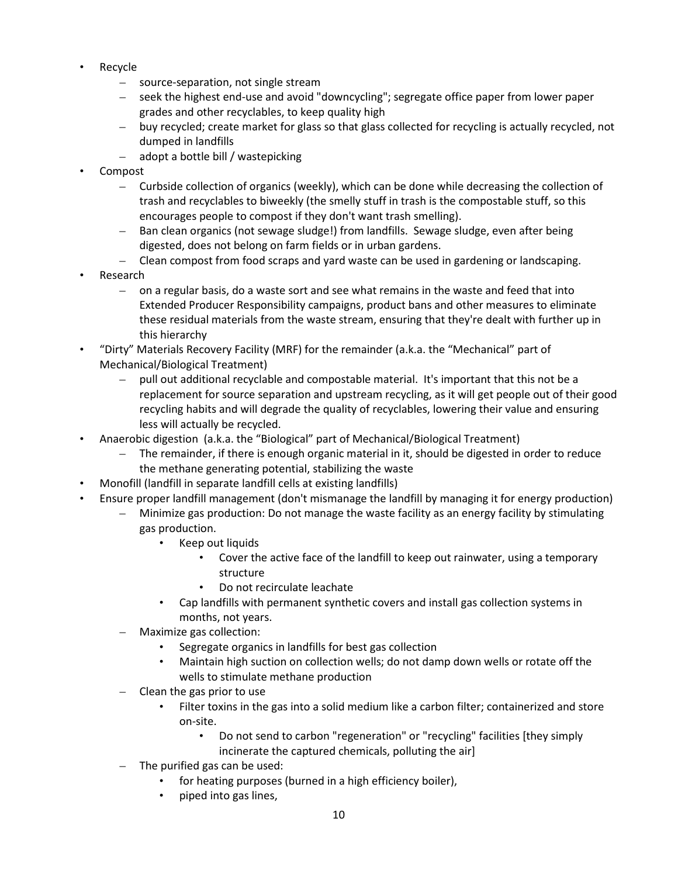- Recycle
	- source-separation, not single stream
	- seek the highest end-use and avoid "downcycling"; segregate office paper from lower paper grades and other recyclables, to keep quality high
	- buy recycled; create market for glass so that glass collected for recycling is actually recycled, not dumped in landfills
	- adopt a bottle bill / wastepicking
- Compost
	- Curbside collection of organics (weekly), which can be done while decreasing the collection of trash and recyclables to biweekly (the smelly stuff in trash is the compostable stuff, so this encourages people to compost if they don't want trash smelling).
	- Ban clean organics (not sewage sludge!) from landfills. Sewage sludge, even after being digested, does not belong on farm fields or in urban gardens.
	- Clean compost from food scraps and yard waste can be used in gardening or landscaping.
- Research
	- on a regular basis, do a waste sort and see what remains in the waste and feed that into Extended Producer Responsibility campaigns, product bans and other measures to eliminate these residual materials from the waste stream, ensuring that they're dealt with further up in this hierarchy
- "Dirty" Materials Recovery Facility (MRF) for the remainder (a.k.a. the "Mechanical" part of Mechanical/Biological Treatment)
	- pull out additional recyclable and compostable material. It's important that this not be a replacement for source separation and upstream recycling, as it will get people out of their good recycling habits and will degrade the quality of recyclables, lowering their value and ensuring less will actually be recycled.
- Anaerobic digestion (a.k.a. the "Biological" part of Mechanical/Biological Treatment)
	- The remainder, if there is enough organic material in it, should be digested in order to reduce the methane generating potential, stabilizing the waste
- Monofill (landfill in separate landfill cells at existing landfills)
- Ensure proper landfill management (don't mismanage the landfill by managing it for energy production)
	- Minimize gas production: Do not manage the waste facility as an energy facility by stimulating gas production.
		- Keep out liquids
			- Cover the active face of the landfill to keep out rainwater, using a temporary structure
			- Do not recirculate leachate
		- Cap landfills with permanent synthetic covers and install gas collection systems in months, not years.
	- Maximize gas collection:
		- Segregate organics in landfills for best gas collection
		- Maintain high suction on collection wells; do not damp down wells or rotate off the wells to stimulate methane production
	- Clean the gas prior to use
		- Filter toxins in the gas into a solid medium like a carbon filter; containerized and store on-site.
			- Do not send to carbon "regeneration" or "recycling" facilities [they simply incinerate the captured chemicals, polluting the air]
	- The purified gas can be used:
		- for heating purposes (burned in a high efficiency boiler),
		- piped into gas lines,